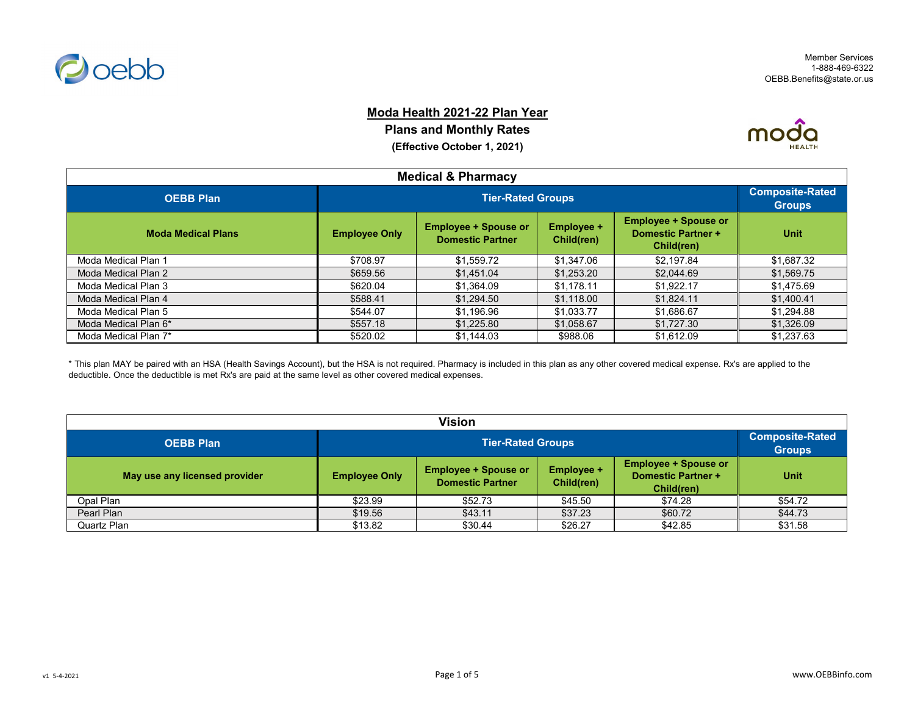

#### **Moda Health 2021-22 Plan Year**

**Plans and Monthly Rates (Effective October 1, 2021)**



| <b>Medical &amp; Pharmacy</b> |                      |                                                        |                                 |                                                                        |             |  |  |
|-------------------------------|----------------------|--------------------------------------------------------|---------------------------------|------------------------------------------------------------------------|-------------|--|--|
| <b>OEBB Plan</b>              |                      | <b>Tier-Rated Groups</b>                               |                                 |                                                                        |             |  |  |
| <b>Moda Medical Plans</b>     | <b>Employee Only</b> | <b>Employee + Spouse or</b><br><b>Domestic Partner</b> | <b>Employee +</b><br>Child(ren) | <b>Employee + Spouse or</b><br><b>Domestic Partner +</b><br>Child(ren) | <b>Unit</b> |  |  |
| Moda Medical Plan 1           | \$708.97             | \$1,559.72                                             | \$1,347.06                      | \$2.197.84                                                             | \$1,687.32  |  |  |
| Moda Medical Plan 2           | \$659.56             | \$1,451.04                                             | \$1.253.20                      | \$2,044.69                                                             | \$1,569.75  |  |  |
| Moda Medical Plan 3           | \$620.04             | \$1,364.09                                             | \$1.178.11                      | \$1.922.17                                                             | \$1,475.69  |  |  |
| Moda Medical Plan 4           | \$588.41             | \$1.294.50                                             | \$1,118.00                      | \$1.824.11                                                             | \$1,400.41  |  |  |
| Moda Medical Plan 5           | \$544.07             | \$1,196.96                                             | \$1,033.77                      | \$1,686.67                                                             | \$1,294.88  |  |  |
| Moda Medical Plan 6*          | \$557.18             | \$1,225.80                                             | \$1.058.67                      | \$1,727.30                                                             | \$1,326.09  |  |  |
| Moda Medical Plan 7*          | \$520.02             | \$1,144.03                                             | \$988.06                        | \$1,612.09                                                             | \$1,237.63  |  |  |

\* This plan MAY be paired with an HSA (Health Savings Account), but the HSA is not required. Pharmacy is included in this plan as any other covered medical expense. Rx's are applied to the deductible. Once the deductible is met Rx's are paid at the same level as other covered medical expenses.

| Vision                        |                      |                                                                                                                                                                     |         |         |         |  |
|-------------------------------|----------------------|---------------------------------------------------------------------------------------------------------------------------------------------------------------------|---------|---------|---------|--|
| <b>OEBB Plan</b>              |                      | <b>Tier-Rated Groups</b>                                                                                                                                            |         |         |         |  |
| May use any licensed provider | <b>Employee Only</b> | <b>Employee + Spouse or</b><br><b>Employee + Spouse or</b><br><b>Employee +</b><br><b>Domestic Partner +</b><br><b>Domestic Partner</b><br>Child(ren)<br>Child(ren) |         |         |         |  |
| Opal Plan                     | \$23.99              | \$52.73                                                                                                                                                             | \$45.50 | \$74.28 | \$54.72 |  |
| Pearl Plan                    | \$19.56              | \$43.11                                                                                                                                                             | \$37.23 | \$60.72 | \$44.73 |  |
| Quartz Plan                   | \$13.82              | \$30.44                                                                                                                                                             | \$26.27 | \$42.85 | \$31.58 |  |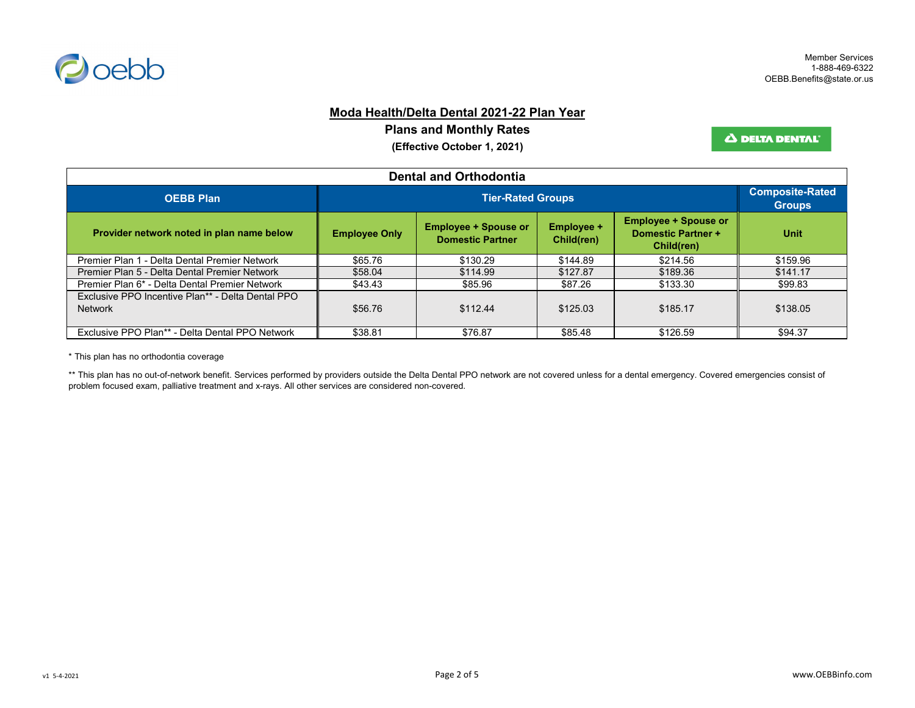

### **Moda Health/Delta Dental 2021-22 Plan Year**

**Plans and Monthly Rates**

**(Effective October 1, 2021)**

Δ DELTA DENTAL<sup>®</sup>

| <b>Dental and Orthodontia</b>                                       |                      |                                                        |                          |                                                                        |             |  |
|---------------------------------------------------------------------|----------------------|--------------------------------------------------------|--------------------------|------------------------------------------------------------------------|-------------|--|
| <b>OEBB Plan</b>                                                    |                      | <b>Tier-Rated Groups</b>                               |                          |                                                                        |             |  |
| Provider network noted in plan name below                           | <b>Employee Only</b> | <b>Employee + Spouse or</b><br><b>Domestic Partner</b> | Employee +<br>Child(ren) | <b>Employee + Spouse or</b><br><b>Domestic Partner +</b><br>Child(ren) | <b>Unit</b> |  |
| Premier Plan 1 - Delta Dental Premier Network                       | \$65.76              | \$130.29                                               | \$144.89                 | \$214.56                                                               | \$159.96    |  |
| Premier Plan 5 - Delta Dental Premier Network                       | \$58.04              | \$114.99                                               | \$127.87                 | \$189.36                                                               | \$141.17    |  |
| Premier Plan 6* - Delta Dental Premier Network                      | \$43.43              | \$85.96                                                | \$87.26                  | \$133.30                                                               | \$99.83     |  |
| Exclusive PPO Incentive Plan** - Delta Dental PPO<br><b>Network</b> | \$56.76              | \$112.44                                               | \$125.03                 | \$185.17                                                               | \$138.05    |  |
| Exclusive PPO Plan** - Delta Dental PPO Network                     | \$38.81              | \$76.87                                                | \$85.48                  | \$126.59                                                               | \$94.37     |  |

\* This plan has no orthodontia coverage

\*\* This plan has no out-of-network benefit. Services performed by providers outside the Delta Dental PPO network are not covered unless for a dental emergency. Covered emergencies consist of problem focused exam, palliative treatment and x-rays. All other services are considered non-covered.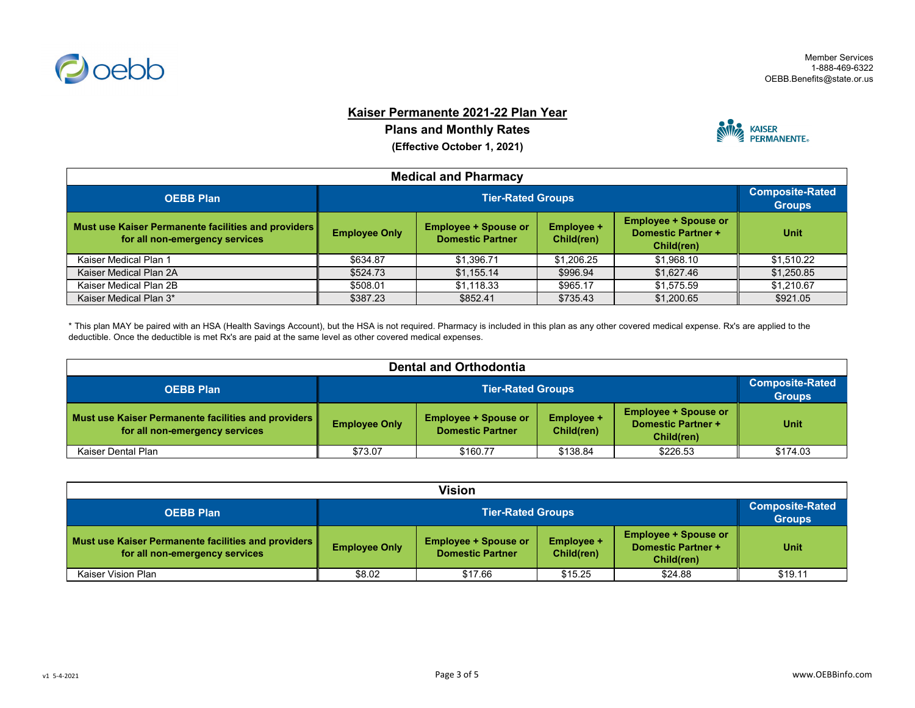

### **Kaiser Permanente 2021-22 Plan Year**

**Plans and Monthly Rates**

**(Effective October 1, 2021)**



| <b>Medical and Pharmacy</b>                                                              |                      |                                                        |                                 |                                                                        |             |  |
|------------------------------------------------------------------------------------------|----------------------|--------------------------------------------------------|---------------------------------|------------------------------------------------------------------------|-------------|--|
| <b>OEBB Plan</b>                                                                         |                      | <b>Tier-Rated Groups</b>                               |                                 |                                                                        |             |  |
| Must use Kaiser Permanente facilities and providers   <br>for all non-emergency services | <b>Employee Only</b> | <b>Employee + Spouse or</b><br><b>Domestic Partner</b> | <b>Employee +</b><br>Child(ren) | <b>Employee + Spouse or</b><br><b>Domestic Partner +</b><br>Child(ren) | <b>Unit</b> |  |
| Kaiser Medical Plan 1                                                                    | \$634.87             | \$1.396.71                                             | \$1.206.25                      | \$1,968.10                                                             | \$1,510.22  |  |
| Kaiser Medical Plan 2A                                                                   | \$524.73             | \$1,155.14                                             | \$996.94                        | \$1,627.46                                                             | \$1,250.85  |  |
| Kaiser Medical Plan 2B                                                                   | \$508.01             | \$1,118.33                                             | \$965.17                        | \$1,575.59                                                             | \$1,210.67  |  |
| Kaiser Medical Plan 3*                                                                   | \$387.23             | \$852.41                                               | \$735.43                        | \$1,200.65                                                             | \$921.05    |  |

\* This plan MAY be paired with an HSA (Health Savings Account), but the HSA is not required. Pharmacy is included in this plan as any other covered medical expense. Rx's are applied to the deductible. Once the deductible is met Rx's are paid at the same level as other covered medical expenses.

| <b>Dental and Orthodontia</b>                                                            |                                                                                                                                 |                          |          |                                                          |             |  |
|------------------------------------------------------------------------------------------|---------------------------------------------------------------------------------------------------------------------------------|--------------------------|----------|----------------------------------------------------------|-------------|--|
| <b>OEBB Plan</b>                                                                         |                                                                                                                                 | <b>Tier-Rated Groups</b> |          |                                                          |             |  |
| Must use Kaiser Permanente facilities and providers   <br>for all non-emergency services | <b>Employee + Spouse or</b><br><b>Employee +</b><br><b>Employee Only</b><br><b>Domestic Partner</b><br>Child(ren)<br>Child(ren) |                          |          | <b>Employee + Spouse or</b><br><b>Domestic Partner +</b> | <b>Unit</b> |  |
| Kaiser Dental Plan                                                                       | \$73.07                                                                                                                         | \$160.77                 | \$138.84 | \$226.53                                                 | \$174.03    |  |

| Vision                                                                                   |                      |                                                        |                                 |                                                                        |             |  |
|------------------------------------------------------------------------------------------|----------------------|--------------------------------------------------------|---------------------------------|------------------------------------------------------------------------|-------------|--|
| <b>OEBB Plan</b>                                                                         |                      | <b>Tier-Rated Groups</b>                               |                                 |                                                                        |             |  |
| Must use Kaiser Permanente facilities and providers   <br>for all non-emergency services | <b>Employee Only</b> | <b>Employee + Spouse or</b><br><b>Domestic Partner</b> | <b>Employee +</b><br>Child(ren) | <b>Employee + Spouse or</b><br><b>Domestic Partner +</b><br>Child(ren) | <b>Unit</b> |  |
| Kaiser Vision Plan                                                                       | \$8.02               | \$17.66                                                | \$15.25                         | \$24.88                                                                | \$19.11     |  |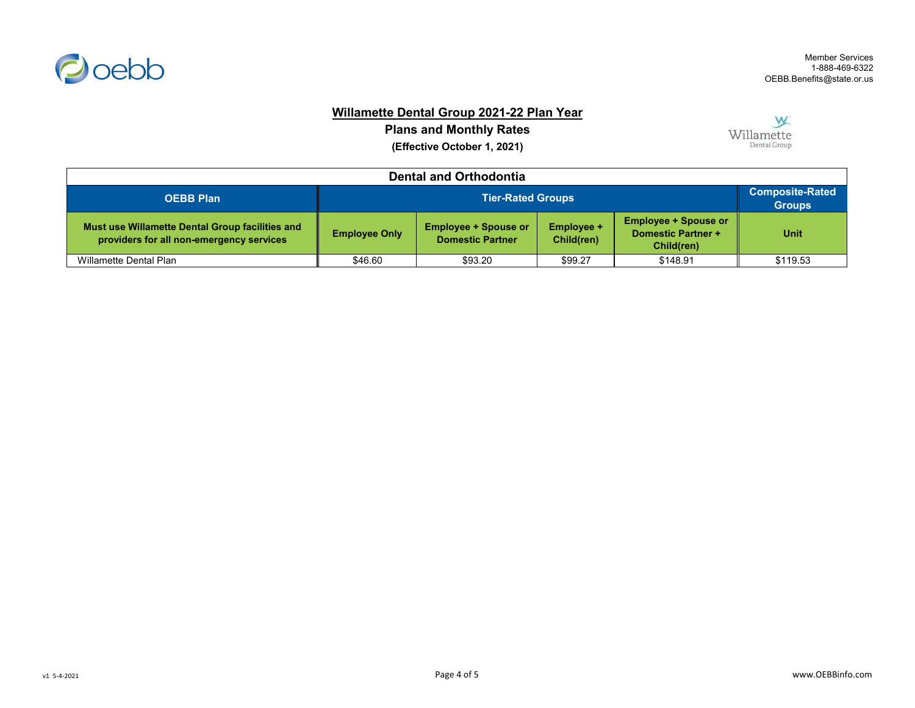

# **Willamette Dental Group 2021-22 Plan Year**

**Plans and Monthly Rates (Effective October 1, 2021)**



| <b>Dental and Orthodontia</b>                                                               |                      |                                                        |                                 |                                                                        |                                         |  |  |
|---------------------------------------------------------------------------------------------|----------------------|--------------------------------------------------------|---------------------------------|------------------------------------------------------------------------|-----------------------------------------|--|--|
| <b>OEBB Plan</b>                                                                            |                      | <b>Tier-Rated Groups</b>                               |                                 |                                                                        | <b>Composite-Rated</b><br><b>Groups</b> |  |  |
| Must use Willamette Dental Group facilities and<br>providers for all non-emergency services | <b>Employee Only</b> | <b>Employee + Spouse or</b><br><b>Domestic Partner</b> | <b>Employee +</b><br>Child(ren) | <b>Employee + Spouse or</b><br><b>Domestic Partner +</b><br>Child(ren) | Unit                                    |  |  |
| Willamette Dental Plan                                                                      | \$46.60              | \$93.20                                                | \$99.27                         | \$148.91                                                               | \$119.53                                |  |  |